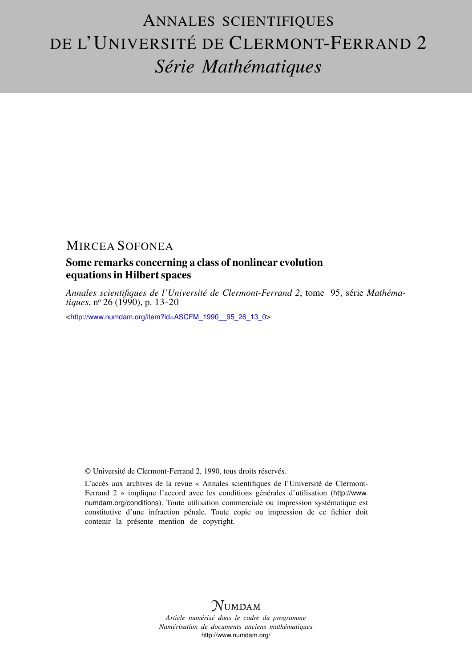# ANNALES SCIENTIFIQUES DE L'UNIVERSITÉ DE CLERMONT-FERRAND 2 *Série Mathématiques*

## MIRCEA SOFONEA

### Some remarks concerning a class of nonlinear evolution equations in Hilbert spaces

*Annales scientifiques de l'Université de Clermont-Ferrand 2*, tome 95, série *Mathématiques*, n<sup>o</sup> 26 (1990), p. 13-20

<[http://www.numdam.org/item?id=ASCFM\\_1990\\_\\_95\\_26\\_13\\_0](http://www.numdam.org/item?id=ASCFM_1990__95_26_13_0)>

© Université de Clermont-Ferrand 2, 1990, tous droits réservés.

L'accès aux archives de la revue « Annales scientifiques de l'Université de Clermont-Ferrand 2 » implique l'accord avec les conditions générales d'utilisation ([http://www.](http://www.numdam.org/conditions) [numdam.org/conditions](http://www.numdam.org/conditions)). Toute utilisation commerciale ou impression systématique est constitutive d'une infraction pénale. Toute copie ou impression de ce fichier doit contenir la présente mention de copyright.



*Article numérisé dans le cadre du programme Numérisation de documents anciens mathématiques* <http://www.numdam.org/>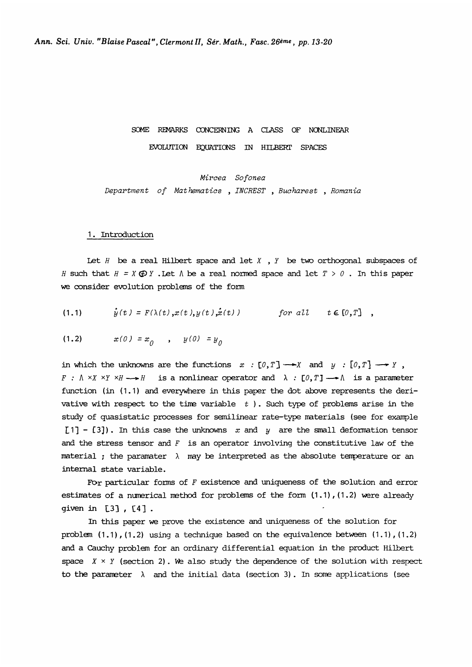### SOME REMARKS CONCERNING A CLASS OF NONLINEAR EVOLUTION EQUATIONS IN HILBERT SPACES

Mircea Sofonea Department of Mat hematics , INCREST , Bucharest , Romania

#### 1. Introduction

Let  $H$  be a real Hilbert space and let  $X$ ,  $Y$  be two orthogonal subspaces of H such that  $H = X \oplus Y$ . Let  $\Lambda$  be a real normed space and let  $T > 0$ . In this paper we consider evolution problems of the form

$$
(1.1) \t\t\t\t\t\dot{y}(t) = F(\lambda(t), x(t), y(t), \dot{x}(t)) \t\t\t\t\t\t\t\tfor all \t\t\t\t t \in [0, T],
$$

$$
(1.2) \t x(0) = x_0 , y(0) = y_0
$$

in which the unknowns are the functions  $x : [0, T] \longrightarrow X$  and  $y : [0, T] \longrightarrow Y$ ,  $F : \Lambda \times X \times Y \times H \longrightarrow H$  is a nonlinear operator and  $\lambda : [0, T] \longrightarrow \Lambda$  is a parameter function (in (1.1) and everywhere in this paper the dot above represents the derivative with respect to the time variable  $t$  ). Such type of problems arise in the study of quasistatic processes for semilinear rate-type materials (see for example [1] - [3]). In this case the unknowns x and y are the small deformation tensor and the stress tensor and  $F$  is an operator involving the constitutive law of the material ; the paramater  $\lambda$  may be interpreted as the absolute temperature or an internal state variable. to the time variable  $t$ ). Such type of processes for semilinear rate-type mate<br>case the unknowns  $x$  and  $y$  are the sm<br>r and  $F$  is an operator involving the conter  $\lambda$  may be interpreted as the absolu-<br>ble.<br>forms of

For particular forms of  $F$  existence and uniqueness of the solution and error estimates of a numerical method for problems of the form  $(1.1)$ ,  $(1.2)$  were already given in [3], [4]

In this paper we prove the existence and uniqueness of the solution for problem  $(1.1)$ ,  $(1.2)$  using a technique based on the equivalence between  $(1.1)$ ,  $(1.2)$ and a Cauchy problem for an ordinary differential equation in the product Hilbert space  $X \times Y$  (section 2). We also study the dependence of the solution with respect to the parameter  $\lambda$  and the initial data (section 3). In some applications (see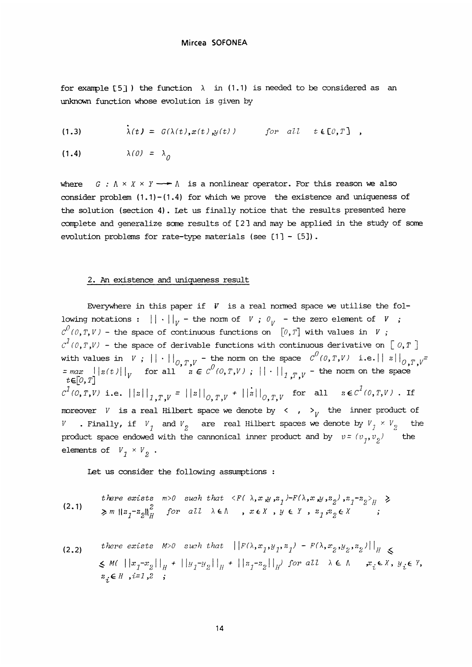for example [5]) the function  $\lambda$  in (1.1) is needed to be considered as an unknown function whose evolution is given by

(1.3) 
$$
\lambda(t) = G(\lambda(t), x(t), y(t)) \quad \text{for all } t \in [0, T]
$$

 $\lambda(0) = \lambda_0$  $(1.4)$ 

where  $G : \Lambda \times X \times Y \longrightarrow \Lambda$  is a nonlinear operator. For this reason we also consider problem  $(1.1)-(1.4)$  for which we prove the existence and uniqueness of the solution (section 4). Let us finally notice that the results presented here complete and generalize some results of [2] and may be applied in the study of some evolution problems for rate-type materials (see  $[1]$  -  $[5]$ ).

#### 2. An existence and uniqueness result

Everywhere in this paper if  $V$  is a real normed space we utilise the following notations :  $|| \cdot ||_V$  - the norm of V ;  $\mathcal{O}_V$  - the zero element of V ;  $C^{O}(\mathcal{O}, T, V)$  - the space of continuous functions on  $~[\mathcal{O},T]$  with values in  $V$ ;  $c^{\textit{1}}$  (0, T, V) - the space of derivable functions with continuous derivative on  $[0, T]$ with values in V;  $||\cdot||_{O, T, V}$  - the norm on the space  $C'(0, T, V)$  i.e.  $||z||_{O, T, V}$  =  $max$   $||z(t)||_{V}$  for all  $z \in C^{O}(0, T, V)$ ;  $||\cdot||_{T, T, V}$  - the norm on the space  $c^1(0,T,V)$  i.e.  $||z||_{1,T,V} = ||z||_{0,T,V} + ||z||_{0,T,V}$  for all  $z \in c^1(0,T,V)$ . If moreover V is a real Hilbert space we denote by  $\langle , \rangle$  the inner product of  $W$  . Finally, if  $\left. V\right/_{1}$  and  $V_{2}$  are real Hilbert spaces we denote by  $V_{\left. j\right. } \times V_{\left. j\right. }$  the product space endowed with the cannonical inner product and by  $v = (v_1, v_2)$ elements of  $V_1 \times V_2$ .

Let us consider the following assumptions :

*there exists* m>0 such that 
$$
\langle F(\lambda, x, y, z_1) - F(\lambda, x, y, z_2), z_1 - z_2 \rangle_H \ge
$$
  
 $\ge m ||z_1 - z_2||_H^2$  for all  $\lambda \in \Lambda$ ,  $x \in X$ ,  $y \in Y$ ,  $z_1, z_2 \in X$  ;

(2.2) there exists M>0 such that 
$$
||F(\lambda, x_1, y_1, z_1) - F(\lambda, x_2, y_2, z_2)||_H \leq
$$
  
\n $\leq M(|x_1 - x_2||_H + ||y_1 - y_2||_H + ||z_1 - z_2||_H)$  for all  $\lambda \in \Lambda$   $x_i \in X$ ,  $y_i \in Y$ ,  $z_i \in H$ ,  $i=1,2$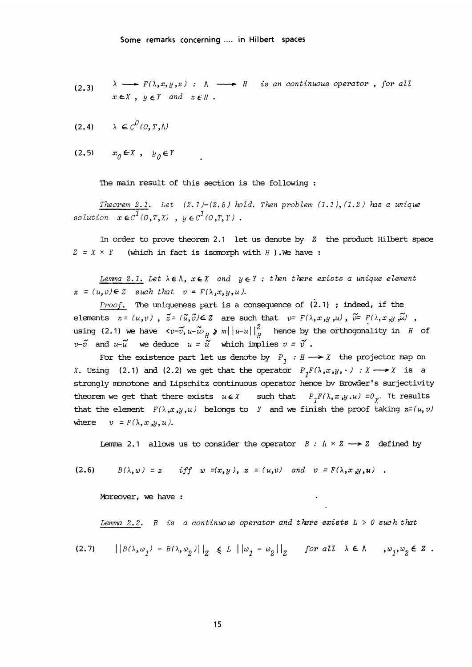(2.3) 
$$
\lambda \longrightarrow F(\lambda, x, y, z) : \Lambda \longrightarrow H
$$
 is an continuous operator, for all  $x \in X$ ,  $y \in Y$  and  $z \in H$ .

$$
(2.4) \qquad \lambda \in C^{0}(0,T,\Lambda)
$$

$$
(2.5) \qquad x_0 \in X \text{ , } y_0 \in Y
$$

The main result of this section is the following :

Theorem 2.1. Let  $(2.1)$ - $(2.5)$  hold. Then problem  $(1.1)$ ,  $(1.2)$  has a unique solution  $x \in c^{\overline{1}}(0,T,X)$ ,  $y \in c^{\overline{1}}(0,T,Y)$ .

In order to prove theorem 2.1 let us denote by  $Z$  the product Hilbert space  $Z = X \times Y$  (which in fact is isomorph with H ). We have :

Lemma 2.1. Let  $\lambda \in \Lambda$ ,  $x \in X$  and  $y \in Y$ : then there exists a unique element  $z = (u, v) \in \mathbb{Z}$  such that  $v = F(\lambda, x, y, u)$ .

*Proof.* The uniqueness part is a consequence of  $(2.1)$ ; indeed, if the elements  $z = (u, v)$ ,  $\tilde{z} = (\tilde{u}, \tilde{v}) \in Z$  are such that  $v = F(\lambda, x, y, u)$ ,  $\tilde{v} = F(\lambda, x, y, \tilde{u})$ , using (2.1) we have  $\langle v-\widetilde{v}, u-\widetilde{u}\rangle_{\widetilde{H}}$   $\geqslant$   $m\vert\,\vert u-u\,\vert\,\vert_{\widetilde{H}}^2$  hence by the orthogonality in  $H$  of  $v$ - $\tilde{v}$  and  $u$ - $\tilde{u}$  we deduce  $u = \tilde{u}$  which s denote by Z the problem (1117)(11<br>
S denote by Z the pro<br>  $H$  ).We have :<br>
: then there exists a<br>
sequence of (2.1) ; ind<br>
that  $v = F(\lambda, x, y, u)$ ,  $\hat{u}$ <br>  $\frac{2}{H}$  hence by the orthoop<br>
plies  $v = \tilde{v}$ .<br>
by  $P_1 : H \longrightarrow X$  t

For the existence part let us denote by  $P_j : H \longrightarrow X$  the projector map on X. Using (2.1) and (2.2) we get that the operator  $P_{\tau}F(\lambda, x, y, \cdot) : X \longrightarrow X$  is a strongly monotone and Lipschitz continuous operator hence bv Browder's surjectivity theorem we get that there exists  $u \in X$  such that  $P_T F(\lambda, x, y, u) = 0_y$ . It results that the element  $F(\lambda, x, y, u)$  belongs to Y and we finish the proof taking  $z=(u, v)$ where  $v = F(\lambda, x, y, u)$ .

Lemma 2.1 allows us to consider the operator  $B : \Lambda \times Z \longrightarrow Z$  defined by

$$
(2.6) \quad B(\lambda, \omega) = z \quad \text{iff} \quad \omega = (x, y), \ z = (u, v) \quad \text{and} \quad v = F(\lambda, x, y, u) \quad .
$$

Moreover, we have :

Lemma 2.2. B is a continuous operator and there exists 
$$
L > 0
$$
 such that

$$
(2.7) \qquad \left|\left|B(\lambda, w_1) - B(\lambda, w_2)\right|\right|_Z \le L \left|\left|w_1 - w_2\right|\right|_Z \quad \text{for all } \lambda \in \Lambda \quad, w_1, w_2 \in Z \; .
$$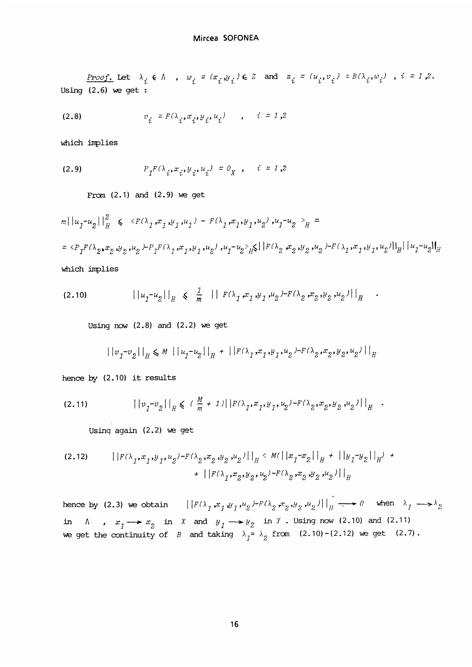$\frac{Proof.}{12.6}$  Let  $\lambda_i$ Using (2.6) we get :

(2.8) 
$$
v_{i} = F(\lambda_{i}, x_{i}, y_{i}, u_{i}) \qquad , \quad i = 1, 2
$$

which implies

(2.9) 
$$
P_{1}F(\lambda_{i}, x_{i}, y_{i}, u_{i}) = 0_{X}, \quad i = 1, 2
$$

From  $(2.1)$  and  $(2.9)$  we get

 $||m||u_1-u_2||_H^2 \leq C F(\lambda_1,x_1,y_1,u_1) - F(\lambda_1,x_1,y_1,u_2)$ ,  $u_1-u_2 >_H P$  $= *P*<sub>1</sub>*F*( $\lambda_2, x_2, y_2, u_2$ ) $-*P*<sub>1</sub>*F*( $\lambda_1, x_1, y_1, u_2$ ),  $u_1 - u_2$ ) $_H$   $\leq$   $|F(\lambda_2, x_2, y_2, u_2) - F(\lambda_1, x_1, y_1, u_2)|$   $||u_1 - u_2||_H$$$ which implies

$$
(2.10) \t\t | |u_1-u_2||_H \leq \frac{1}{m} \t | |F(\lambda_1,x_1,y_1,u_2)^{-F(\lambda_2,x_2,y_2,u_2)}|_H
$$

Using now  $(2.8)$  and  $(2.2)$  we get

$$
|\,|\,v_{1} - v_{2}|\,|_{_H} \leq \, M \, \left|\, |\,|u_{1} - u_{2}|\,|\,|_{_H} \, + \, \left|\, |\,|F(\lambda_1\,, x_1\,, y_1\,, u_2\,)-F(\lambda_2\,, x_2\,, y_2\,, u_2\,)\,|\, \right|_{_H}
$$

hence by (2.10) it results

$$
(2.11) \t\t | |v_1-v_2||_H \leq ( \frac{M}{m} + 1) | |F(\lambda_1, x_1, y_1, u_2) - F(\lambda_2, x_2, y_2, u_2)| |_H.
$$

Using again  $(2.2)$  we get

$$
(2.12) \qquad ||F(\lambda_1, x_1, y_1, u_2) - F(\lambda_2, x_2, y_2, u_2)||_H < M(||x_1 - x_2||_H + ||y_1 - y_2||_H) + ||F(\lambda_1, x_2, y_2, u_2) - F(\lambda_2, x_2, y_2, u_2)||_H
$$

hence by (2.3) we obtain  $||F(\lambda_1, x_1, y_1, u_2) - F(\lambda_2, x_2, y_2, u_2)||_H \longrightarrow 0$  when  $\lambda_1 \longrightarrow \lambda_2$ in  $\Lambda$  ,  $x_1 \longrightarrow x_2$  in X and  $y_1 \longrightarrow y_2$  in Y . Using now (2.10) and (2.11) we get the continuity of B and taking A- A~ from (2.10)-(2.12) > we get (2.7) .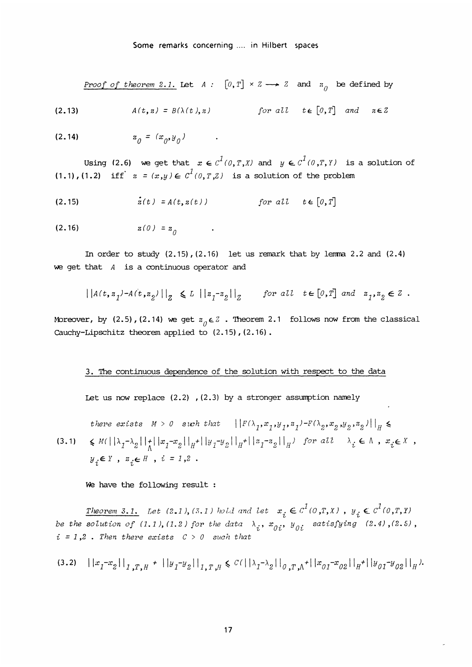Proof of theorem 2.1. Let  $A: [0, T] \times Z \longrightarrow Z$  and  $\mathfrak{a}_{0}$  be defined by

$$
(2.13) \quad A(t, z) = B(\lambda(t), z) \quad \text{for all } t \in [0, T] \quad \text{and} \quad z \in Z
$$

$$
(2.14) \t\t\t z_{0} = (x_{0}, y_{0}) \t .
$$

Using (2.6) we get that  $x \in c^1(0,T,X)$  and  $y \in c^1(0,T,Y)$  is a solution of (1.1),(1.2) iff  $z = (x,y) \in C^1(0,T,Z)$  is a solution of the problem

(2.15) 
$$
\dot{z}(t) = A(t, z(t)) \qquad \text{for all } t \in [0, T]
$$

$$
(2.16) \t z(0) = z_0
$$

In order to study  $(2.15)$ ,  $(2.16)$  let us remark that by lemma 2.2 and  $(2.4)$ we get that  $A$  is a continuous operator and

$$
\big|\, \big| \, A(t,z_1)^{-} A(t,z_2)^{'} \big| \, \big|_{Z} \ \leqslant L \ \big|\, \big| \, z_1^{-} z_2^{\,} \big| \, \big|_{Z} \qquad \textit{for all} \ \ t \in [0,T] \ \ \textit{and} \ \ z_1,z_2 \in Z \ .
$$

Moreover, by (2.5),(2.14) we get  $z_0 \in \mathbb{Z}$ . Theorem 2.1 follows now from the classical Cauchy-Lipschitz theorem applied to (2.15), (2.16).

#### 3. The continuous dependence of the solution with respect to the data

Let us now replace  $(2.2)$  ,  $(2.3)$  by a stronger assumption namely

there exists  $M > 0$  such that  $\left\{ |F(\lambda_1, x_1, y_1, z_1) - F(\lambda_2, x_2, y_2, z_2)| \right\}_H \leq$  $(3.1) \quad \leq M(\left|\left|\lambda_1-\lambda_2\right|\right|_{\Lambda}\left|\left|x_1-x_2\right|\right|_{H}+\left|\left|y_1-y_2\right|\right|_{H}+\left|\left|z_1-z_2\right|\right|_{H}) \quad for \; all \quad \lambda_i \in \Lambda \ , \; x_i \in X \ ,$  $y_i \in Y$ ,  $z_i \in H$ ,  $i = 1,2$ .

We have the following result :

Theorem 3.1. Let (2.1), (3.1) hold and let  $x_i \in C^1(0,T,X)$ ,  $y_i \in C^1(0,T,Y)$ be the solution of (1.1), (1.2) for the data  $\lambda_i$ ,  $x_{0i}$ ,  $y_{0i}$  satisfying (2.4), (2.5),  $i = 1,2$ . Then there exists  $C > 0$  such that

$$
(3.2)\quad ||x_1-x_2||_{1,T,H} + ||y_1-y_2||_{1,T,H} \leq C(||\lambda_1-\lambda_2||_{0,T,\Lambda} + ||x_{01}-x_{02}||_{H} + ||y_{01}-y_{02}||_{H}).
$$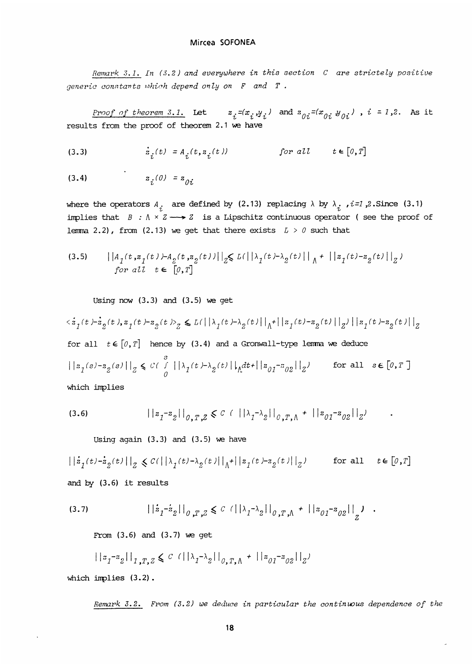Remark  $3.1$ . In (3.2) and everywhere in this section  $C$  are strictely positive generic constants which depend only on  $F$  and  $T$ .

Mircea SOFONEA<br>
Remark 3.1. In (3.2) and everywhere in this section C are strictely positive<br>
c constants which depend only on F and T.<br>
Proof of theorem 3.1. Let  $z_i^{-(x_i,y_i)}$  and  $z_{0i}^{-(x_{0i} \psi_{0i})}$ ,  $i = 1, 2$ . As it<br>
s results from the proof of theorem 2.1 we have

$$
(3.3) \qquad \dot{z}_1(t) = A_1(t, z_1(t)) \qquad \text{for all} \qquad t \in [0, T]
$$

$$
(3.4) \t\t\t z_i(0) = z_{0i}
$$

where the operators  $A_i$  are defined by (2.13) replacing  $\lambda$  by  $\lambda_i$ ,  $i=1,2$ . Since (3.1) implies that  $B : \Lambda \times Z \longrightarrow Z$  is a Lipschitz continuous operator (see the proof of lemma 2.2), from (2.13) we get that there exists  $L > 0$  such that

(3.5) 
$$
\left|\begin{array}{cc} |A_1(t,s_1(t)) - A_2(t,s_2(t))| \end{array}\right|_{Z} \le L(\left|\begin{array}{c} \lambda_1(t) - \lambda_2(t) \end{array}\right|_{\Lambda} + \left|\begin{array}{c} \lambda_1(t) - s_2(t) \end{array}\right|_{Z})
$$
  
for all  $t \in [0,T]$ 

Using now  $(3.3)$  and  $(3.5)$  we get

 $\langle \dot{z}_1(t) \cdot \dot{z}_2(t) , z_1(t) - z_2(t) \rangle_{Z} \leq L(||\lambda_1(t) - \lambda_2(t)||_{\Lambda} + ||z_1(t) - z_2(t)||_{Z}) ||z_1(t) - z_2(t)||_{Z}$ for all  $t \in [0, T]$  hence by (3.4) and a Gronwall-type lemma we deduce  $\big|\,\big|\, \textbf{z}_{1}(s)-\textbf{z}_{2}(s)\,\big|\,\big|_{Z} \,\leqslant\, \textcolor{black}{C\,(\,\int\limits^s_{0}\, \big|\, \big|\, \textbf{z}_{1}(t)-\textbf{z}_{2}(t)\,\big|\,\big|\, \textbf{z}_{0}t+ \big|\, \big|\, \textbf{z}_{01}-\textbf{z}_{02}\,\big|\,\big|_{Z})} \qquad \text{for all} \quad \textcolor{black}{s\, \in\, \llbracket 0, T\, \rrbracket}$ which implies

$$
(3.6) \t\t | |z_1 - z_2||_{0,T,Z} \leq C \t (||\lambda_1 - \lambda_2||_{0,T,\Lambda} + ||z_{01} - z_{02}||_Z)
$$

Using again  $(3.3)$  and  $(3.5)$  we have

 $\left|\left|\dot z_{1}(t)-\dot z_{2}(t)\right|\right|_{Z}\,\leqslant\, \mathcal{C}(\left|\left|\lambda_{1}(t)-\lambda_{2}(t)\right|\right|_{\Lambda}+\left|\left|z_{1}(t)-z_{2}(t)\right|\right|_{Z}) \qquad \text{ for all }\quad t\in\left[0,T\right]$ and by (3.6) it results

$$
(3.7) \t\t\t ||\dot{z}_1 - \dot{z}_2||_{0,T,Z} \leq C \t (||\lambda_1 - \lambda_2||_{0,T,\Lambda} + ||z_{01} - z_{02}||_{Z})
$$

From (3.6) and (3.7) we get

$$
||z_1 - z_2||_{1, T, Z} \leq C (||\lambda_1 - \lambda_2||_{0, T, \Lambda} + ||z_{01} - z_{02}||_{Z})
$$

which implies  $(3.2)$ .

Remark 3.2. From  $(3.2)$  we deduce in particular the continuous dependence of the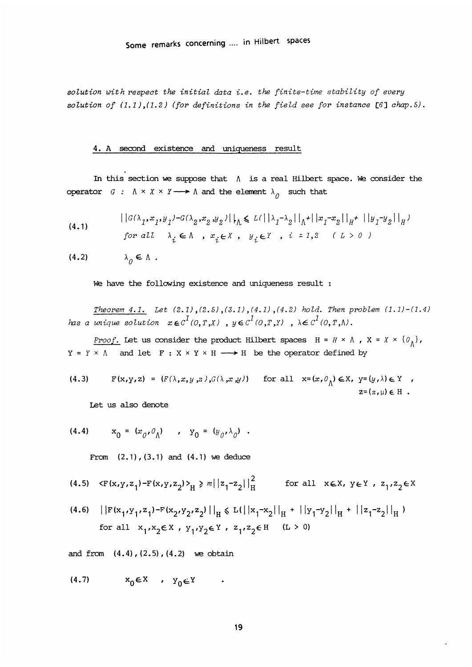solution with respect the initial data i.e. the finite-time stability of every solution of  $(1.1)$ ,  $(1.2)$  (for definitions in the field see for instance [6] chap.5).

#### 4. A second existence and uniqueness result

In this section we suppose that  $\Lambda$  is a real Hilbert space. We consider the operator  $G : \Lambda \times X \times Y \longrightarrow \Lambda$  and the element  $\lambda_{\Omega}$  such that

(4.1) 
$$
\left|\left|G(\lambda_1, x_1, y_1) - G(\lambda_2, x_2, y_2)\right|\right|_h \le L(\left|\left|\lambda_1 - \lambda_2\right|\right|_h + \left|\left|x_1 - x_2\right|\right|_h + \left|\left|y_1 - y_2\right|\right|_h)
$$
  
for all  $\lambda_i \in \Lambda$ ,  $x_i \in X$ ,  $y_i \in Y$ ,  $i = 1, 2$   $(L > 0)$ 

$$
(4.2) \qquad \qquad \lambda_0 \in \Lambda
$$

We have the following existence and uniqueness result :

Theorem  $4.1.$  Let  $(2.1)$ ,  $(2.5)$ ,  $(3.1)$ ,  $(4.1)$ ,  $(4.2)$  hold. Then problem  $(1.1)-(1.4)$ has a unique solution  $x \in C^1(0,T,X)$ ,  $y \in C^1(0,T,Y)$ ,  $\lambda \in C^1(0,T,N)$ .

Proof. Let us consider the product Hilbert spaces  $H = H \times \Lambda$ ,  $X = X \times \{0_{\Lambda}\}\,$ ,  $Y = Y \times \Lambda$  and let  $F : X \times Y \times H \longrightarrow H$  be the operator defined by

(4.3) 
$$
F(x,y,z) = (F(\lambda,x,y,z),G(\lambda,x,y)) \text{ for all } x=(x,0) \in X, y=(y,\lambda) \in Y,
$$

$$
z=(z,\mu) \in H.
$$

Let us also denote

(4.4) 
$$
x_0 = (x_0, 0_0)
$$
 ,  $y_0 = (y_0, \lambda_0)$ .

From  $(2.1)$ ,  $(3.1)$  and  $(4.1)$  we deduce

(4.5) 
$$
\langle F(x,y,z_1) - F(x,y,z_2) \rangle_H \ge m ||z_1 - z_2||_H^2
$$
 for all  $x \in X, y \in Y, z_1, z_2 \in X$ 

(4.6)  $||F(x_1,y_1,z_1)-F(x_2,y_2,z_2)||_H \le L(||x_1-x_2||_H + ||y_1-y_2||_H + ||z_1-z_2||_H)$ for all  $x_1, x_2 \in X$ ,  $y_1, y_2 \in Y$ ,  $z_1, z_2 \in H$  (L > 0)

and from  $(4.4)$ ,  $(2.5)$ ,  $(4.2)$  we obtain

$$
(4.7) \t x_0 \in X \t y_0 \in Y \t .
$$